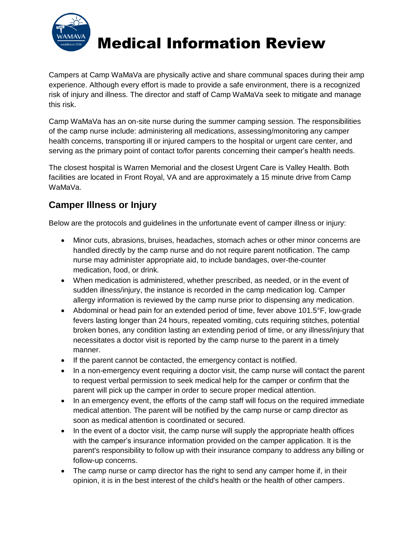

## Medical Information Review

Campers at Camp WaMaVa are physically active and share communal spaces during their amp experience. Although every effort is made to provide a safe environment, there is a recognized risk of injury and illness. The director and staff of Camp WaMaVa seek to mitigate and manage this risk.

Camp WaMaVa has an on-site nurse during the summer camping session. The responsibilities of the camp nurse include: administering all medications, assessing/monitoring any camper health concerns, transporting ill or injured campers to the hospital or urgent care center, and serving as the primary point of contact to/for parents concerning their camper's health needs.

The closest hospital is Warren Memorial and the closest Urgent Care is Valley Health. Both facilities are located in Front Royal, VA and are approximately a 15 minute drive from Camp WaMaVa.

## **Camper Illness or Injury**

Below are the protocols and guidelines in the unfortunate event of camper illness or injury:

- Minor cuts, abrasions, bruises, headaches, stomach aches or other minor concerns are handled directly by the camp nurse and do not require parent notification. The camp nurse may administer appropriate aid, to include bandages, over-the-counter medication, food, or drink.
- When medication is administered, whether prescribed, as needed, or in the event of sudden illness/injury, the instance is recorded in the camp medication log. Camper allergy information is reviewed by the camp nurse prior to dispensing any medication.
- Abdominal or head pain for an extended period of time, fever above 101.5°F, low-grade fevers lasting longer than 24 hours, repeated vomiting, cuts requiring stitches, potential broken bones, any condition lasting an extending period of time, or any illness/injury that necessitates a doctor visit is reported by the camp nurse to the parent in a timely manner.
- If the parent cannot be contacted, the emergency contact is notified.
- In a non-emergency event requiring a doctor visit, the camp nurse will contact the parent to request verbal permission to seek medical help for the camper or confirm that the parent will pick up the camper in order to secure proper medical attention.
- In an emergency event, the efforts of the camp staff will focus on the required immediate medical attention. The parent will be notified by the camp nurse or camp director as soon as medical attention is coordinated or secured.
- In the event of a doctor visit, the camp nurse will supply the appropriate health offices with the camper's insurance information provided on the camper application. It is the parent's responsibility to follow up with their insurance company to address any billing or follow-up concerns.
- The camp nurse or camp director has the right to send any camper home if, in their opinion, it is in the best interest of the child's health or the health of other campers.